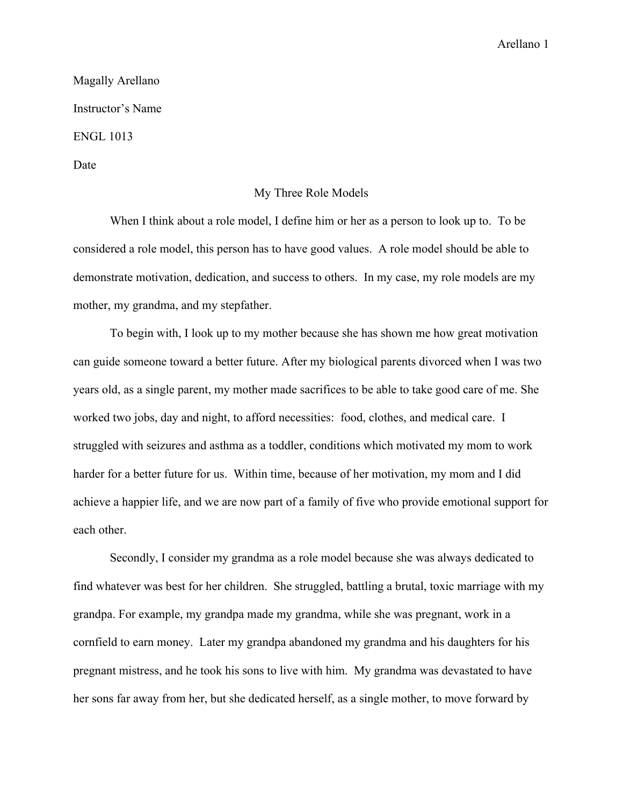Arellano 1

Magally Arellano Instructor's Name ENGL 1013 Date

## My Three Role Models

When I think about a role model, I define him or her as a person to look up to. To be considered a role model, this person has to have good values. A role model should be able to demonstrate motivation, dedication, and success to others. In my case, my role models are my mother, my grandma, and my stepfather.

To begin with, I look up to my mother because she has shown me how great motivation can guide someone toward a better future. After my biological parents divorced when I was two years old, as a single parent, my mother made sacrifices to be able to take good care of me. She worked two jobs, day and night, to afford necessities: food, clothes, and medical care. I struggled with seizures and asthma as a toddler, conditions which motivated my mom to work harder for a better future for us. Within time, because of her motivation, my mom and I did achieve a happier life, and we are now part of a family of five who provide emotional support for each other.

Secondly, I consider my grandma as a role model because she was always dedicated to find whatever was best for her children. She struggled, battling a brutal, toxic marriage with my grandpa. For example, my grandpa made my grandma, while she was pregnant, work in a cornfield to earn money. Later my grandpa abandoned my grandma and his daughters for his pregnant mistress, and he took his sons to live with him. My grandma was devastated to have her sons far away from her, but she dedicated herself, as a single mother, to move forward by